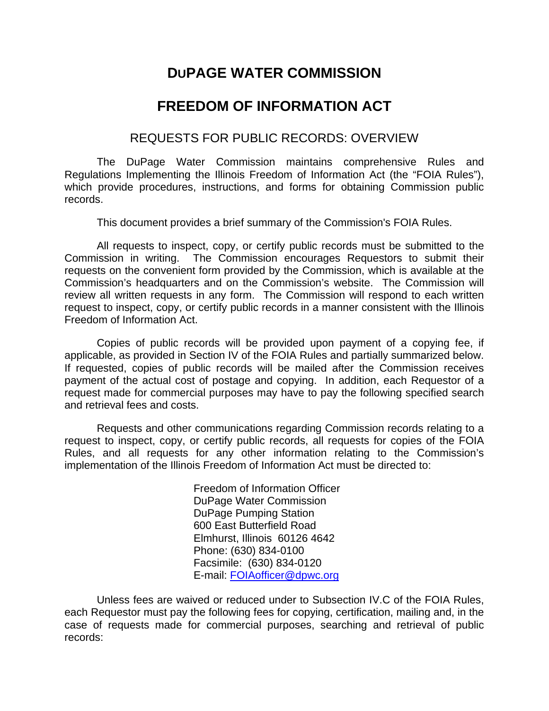## **DUPAGE WATER COMMISSION**

## **FREEDOM OF INFORMATION ACT**

## REQUESTS FOR PUBLIC RECORDS: OVERVIEW

The DuPage Water Commission maintains comprehensive Rules and Regulations Implementing the Illinois Freedom of Information Act (the "FOIA Rules"), which provide procedures, instructions, and forms for obtaining Commission public records.

This document provides a brief summary of the Commission's FOIA Rules.

All requests to inspect, copy, or certify public records must be submitted to the Commission in writing. The Commission encourages Requestors to submit their requests on the convenient form provided by the Commission, which is available at the Commission's headquarters and on the Commission's website. The Commission will review all written requests in any form. The Commission will respond to each written request to inspect, copy, or certify public records in a manner consistent with the Illinois Freedom of Information Act.

Copies of public records will be provided upon payment of a copying fee, if applicable, as provided in Section IV of the FOIA Rules and partially summarized below. If requested, copies of public records will be mailed after the Commission receives payment of the actual cost of postage and copying. In addition, each Requestor of a request made for commercial purposes may have to pay the following specified search and retrieval fees and costs.

Requests and other communications regarding Commission records relating to a request to inspect, copy, or certify public records, all requests for copies of the FOIA Rules, and all requests for any other information relating to the Commission's implementation of the Illinois Freedom of Information Act must be directed to:

> Freedom of Information Officer DuPage Water Commission DuPage Pumping Station 600 East Butterfield Road Elmhurst, Illinois 60126 4642 Phone: (630) 834-0100 Facsimile: (630) 834-0120 E-mail: FOIAofficer@dpwc.org

Unless fees are waived or reduced under to Subsection IV.C of the FOIA Rules, each Requestor must pay the following fees for copying, certification, mailing and, in the case of requests made for commercial purposes, searching and retrieval of public records: